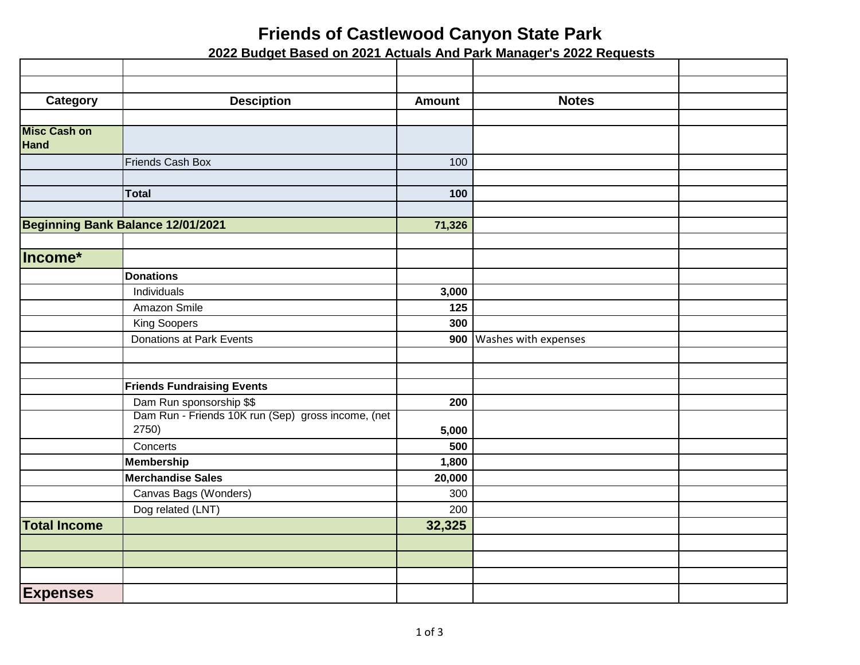## **Friends of Castlewood Canyon State Park**

 **2022 Budget Based on 2021 Actuals And Park Manager's 2022 Requests**

| Category                          | <b>Desciption</b>                                  | <b>Amount</b>   | <b>Notes</b>         |  |
|-----------------------------------|----------------------------------------------------|-----------------|----------------------|--|
|                                   |                                                    |                 |                      |  |
| <b>Misc Cash on</b><br>Hand       |                                                    |                 |                      |  |
|                                   | Friends Cash Box                                   | 100             |                      |  |
|                                   |                                                    |                 |                      |  |
|                                   | <b>Total</b>                                       | 100             |                      |  |
|                                   |                                                    |                 |                      |  |
| Beginning Bank Balance 12/01/2021 |                                                    | 71,326          |                      |  |
|                                   |                                                    |                 |                      |  |
| Income*                           |                                                    |                 |                      |  |
|                                   | <b>Donations</b>                                   |                 |                      |  |
|                                   | Individuals                                        | 3,000           |                      |  |
|                                   | Amazon Smile                                       | 125             |                      |  |
|                                   | King Soopers                                       | 300             |                      |  |
|                                   | Donations at Park Events                           | 900             | Washes with expenses |  |
|                                   |                                                    |                 |                      |  |
|                                   |                                                    |                 |                      |  |
|                                   | <b>Friends Fundraising Events</b>                  |                 |                      |  |
|                                   | Dam Run sponsorship \$\$                           | 200             |                      |  |
|                                   | Dam Run - Friends 10K run (Sep) gross income, (net |                 |                      |  |
|                                   | 2750)                                              | 5,000           |                      |  |
|                                   | Concerts                                           | 500             |                      |  |
|                                   | <b>Membership</b><br><b>Merchandise Sales</b>      | 1,800<br>20,000 |                      |  |
|                                   | Canvas Bags (Wonders)                              | 300             |                      |  |
|                                   | Dog related (LNT)                                  | 200             |                      |  |
| <b>Total Income</b>               |                                                    | 32,325          |                      |  |
|                                   |                                                    |                 |                      |  |
|                                   |                                                    |                 |                      |  |
|                                   |                                                    |                 |                      |  |
|                                   |                                                    |                 |                      |  |
| <b>Expenses</b>                   |                                                    |                 |                      |  |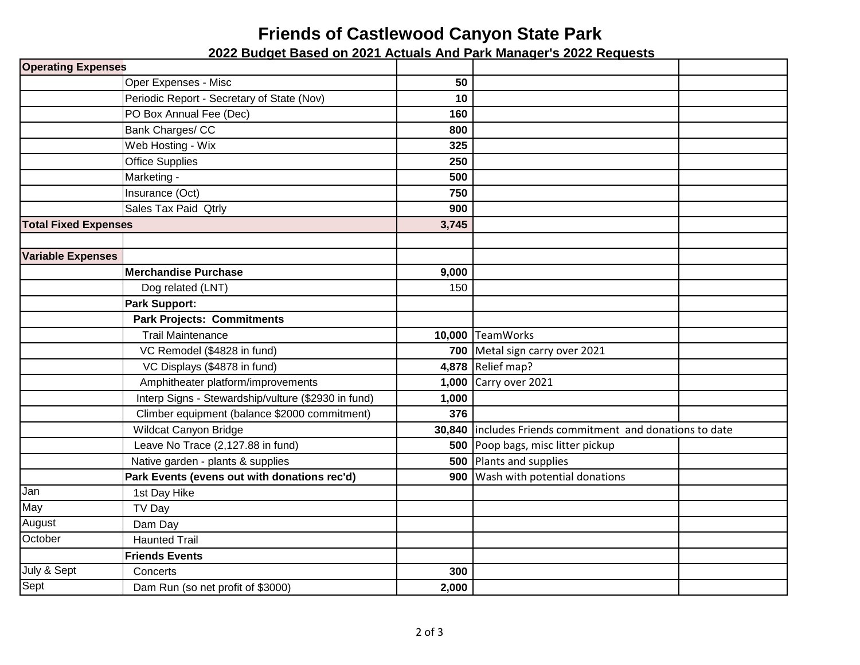## **Friends of Castlewood Canyon State Park**

 **2022 Budget Based on 2021 Actuals And Park Manager's 2022 Requests**

| <b>Operating Expenses</b>   |                                                     |        |                                                   |  |
|-----------------------------|-----------------------------------------------------|--------|---------------------------------------------------|--|
|                             | Oper Expenses - Misc                                | 50     |                                                   |  |
|                             | Periodic Report - Secretary of State (Nov)          | 10     |                                                   |  |
|                             | PO Box Annual Fee (Dec)                             | 160    |                                                   |  |
|                             | Bank Charges/ CC                                    | 800    |                                                   |  |
|                             | Web Hosting - Wix                                   | 325    |                                                   |  |
|                             | <b>Office Supplies</b>                              | 250    |                                                   |  |
|                             | Marketing -                                         | 500    |                                                   |  |
|                             | Insurance (Oct)                                     | 750    |                                                   |  |
|                             | Sales Tax Paid Qtrly                                | 900    |                                                   |  |
| <b>Total Fixed Expenses</b> |                                                     | 3,745  |                                                   |  |
|                             |                                                     |        |                                                   |  |
| <b>Variable Expenses</b>    |                                                     |        |                                                   |  |
|                             | <b>Merchandise Purchase</b>                         | 9,000  |                                                   |  |
|                             | Dog related (LNT)                                   | 150    |                                                   |  |
|                             | <b>Park Support:</b>                                |        |                                                   |  |
|                             | <b>Park Projects: Commitments</b>                   |        |                                                   |  |
|                             | <b>Trail Maintenance</b>                            |        | 10,000 TeamWorks                                  |  |
|                             | VC Remodel (\$4828 in fund)                         |        | 700 Metal sign carry over 2021                    |  |
|                             | VC Displays (\$4878 in fund)                        |        | 4,878 Relief map?                                 |  |
|                             | Amphitheater platform/improvements                  | 1,000  | Carry over 2021                                   |  |
|                             | Interp Signs - Stewardship/vulture (\$2930 in fund) | 1,000  |                                                   |  |
|                             | Climber equipment (balance \$2000 commitment)       | 376    |                                                   |  |
|                             | Wildcat Canyon Bridge                               | 30,840 | includes Friends commitment and donations to date |  |
|                             | Leave No Trace (2,127.88 in fund)                   |        | 500 Poop bags, misc litter pickup                 |  |
|                             | Native garden - plants & supplies                   |        | 500 Plants and supplies                           |  |
|                             | Park Events (evens out with donations rec'd)        | 900    | Wash with potential donations                     |  |
| Jan                         | 1st Day Hike                                        |        |                                                   |  |
| May                         | TV Day                                              |        |                                                   |  |
| August                      | Dam Day                                             |        |                                                   |  |
| October                     | <b>Haunted Trail</b>                                |        |                                                   |  |
|                             | <b>Friends Events</b>                               |        |                                                   |  |
| July & Sept                 | Concerts                                            | 300    |                                                   |  |
| Sept                        | Dam Run (so net profit of \$3000)                   | 2,000  |                                                   |  |